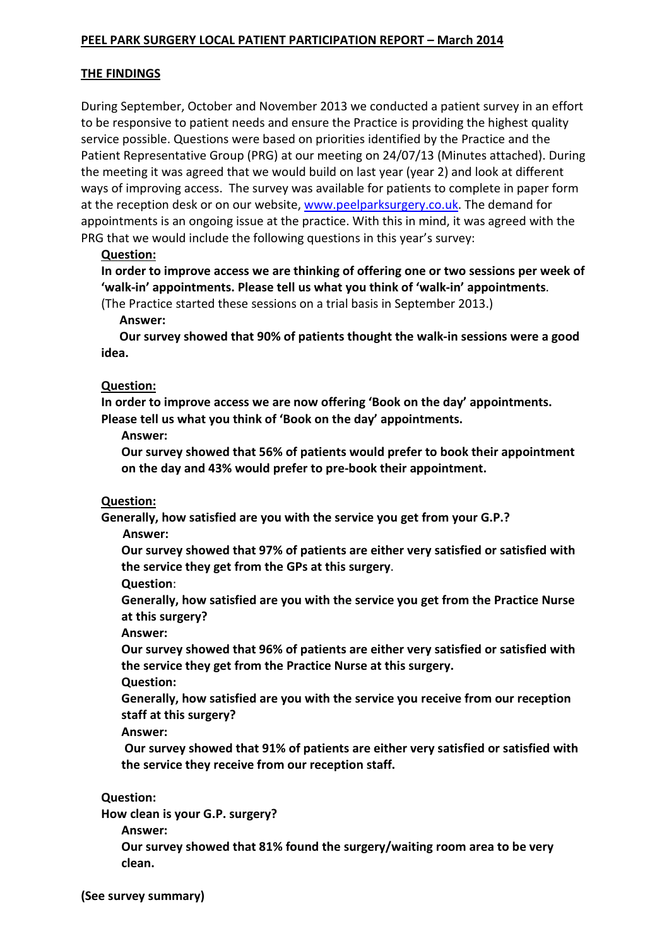### PEEL PARK SURGERY LOCAL PATIENT PARTICIPATION REPORT – March 2014

### THE FINDINGS

During September, October and November 2013 we conducted a patient survey in an effort to be responsive to patient needs and ensure the Practice is providing the highest quality service possible. Questions were based on priorities identified by the Practice and the Patient Representative Group (PRG) at our meeting on 24/07/13 (Minutes attached). During the meeting it was agreed that we would build on last year (year 2) and look at different ways of improving access. The survey was available for patients to complete in paper form at the reception desk or on our website, www.peelparksurgery.co.uk. The demand for appointments is an ongoing issue at the practice. With this in mind, it was agreed with the PRG that we would include the following questions in this year's survey:

### Question:

In order to improve access we are thinking of offering one or two sessions per week of 'walk-in' appointments. Please tell us what you think of 'walk-in' appointments.

(The Practice started these sessions on a trial basis in September 2013.)

Answer:

 Our survey showed that 90% of patients thought the walk-in sessions were a good idea.

#### Question:

In order to improve access we are now offering 'Book on the day' appointments. Please tell us what you think of 'Book on the day' appointments.

Answer:

Our survey showed that 56% of patients would prefer to book their appointment on the day and 43% would prefer to pre-book their appointment.

#### Question:

Generally, how satisfied are you with the service you get from your G.P.?

Answer:

Our survey showed that 97% of patients are either very satisfied or satisfied with the service they get from the GPs at this surgery.

Question:

Generally, how satisfied are you with the service you get from the Practice Nurse at this surgery?

Answer:

Our survey showed that 96% of patients are either very satisfied or satisfied with the service they get from the Practice Nurse at this surgery.

Question:

Generally, how satisfied are you with the service you receive from our reception staff at this surgery?

Answer:

 Our survey showed that 91% of patients are either very satisfied or satisfied with the service they receive from our reception staff.

#### Question:

How clean is your G.P. surgery?

Answer:

Our survey showed that 81% found the surgery/waiting room area to be very clean.